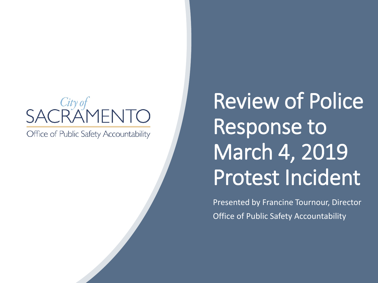# $City ofRAWENTO$

Office of Public Safety Accountability

## Review of Police Response to March 4, 2019 Protest Incident

Presented by Francine Tournour, Director Office of Public Safety Accountability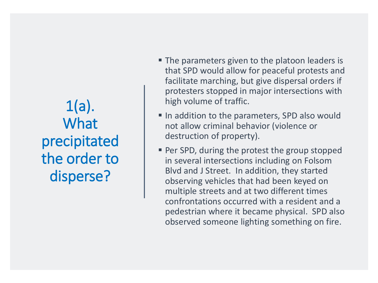$1(a)$ . **What** precipitated the order to disperse?

- **The parameters given to the platoon leaders is** that SPD would allow for peaceful protests and facilitate marching, but give dispersal orders if protesters stopped in major intersections with high volume of traffic.
- In addition to the parameters, SPD also would not allow criminal behavior (violence or destruction of property).
- **Per SPD, during the protest the group stopped** in several intersections including on Folsom Blvd and J Street. In addition, they started observing vehicles that had been keyed on multiple streets and at two different times confrontations occurred with a resident and a pedestrian where it became physical. SPD also observed someone lighting something on fire.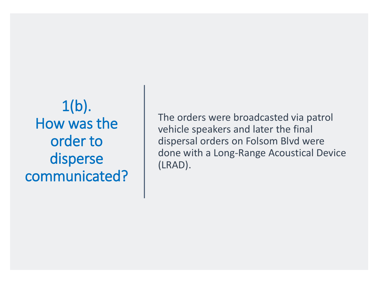$1(b)$ . How was the order to disperse communicated?

The orders were broadcasted via patrol vehicle speakers and later the final dispersal orders on Folsom Blvd were done with a Long-Range Acoustical Device (LRAD).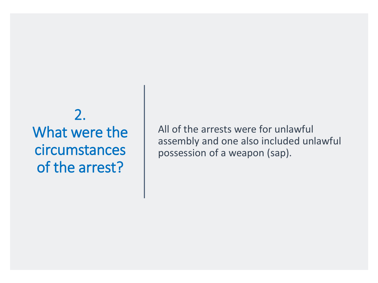### 2. What were the circumstances of the arrest?

All of the arrests were for unlawful assembly and one also included unlawful possession of a weapon (sap).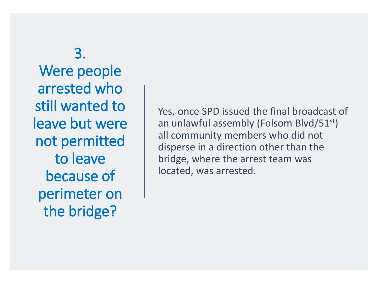3. Were people arrested who still wanted to leave but were not permitted to leave because of perimeter on the bridge?

Yes, once SPD issued the final broadcast of an unlawful assembly (Folsom Blvd/51st) all community members who did not disperse in a direction other than the bridge, where the arrest team was located, was arrested.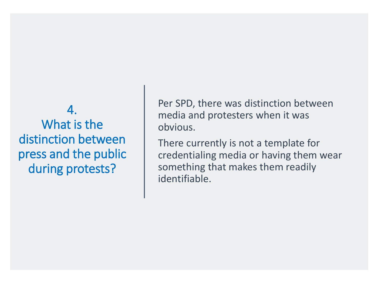#### 4. What is the distinction between press and the public during protests?

Per SPD, there was distinction between media and protesters when it was obvious.

There currently is not a template for credentialing media or having them wear something that makes them readily identifiable.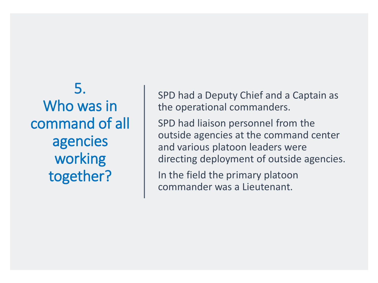5. Who was in command of all agencies working together?

SPD had a Deputy Chief and a Captain as the operational commanders.

SPD had liaison personnel from the outside agencies at the command center and various platoon leaders were directing deployment of outside agencies.

In the field the primary platoon commander was a Lieutenant.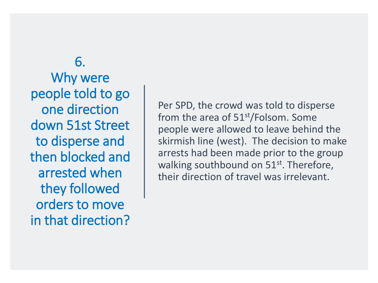6. Why were people told to go one direction down 51st Street to disperse and then blocked and arrested when they followed orders to move in that direction?

Per SPD, the crowd was told to disperse from the area of  $51<sup>st</sup>/Folsom$ . Some people were allowed to leave behind the skirmish line (west). The decision to make arrests had been made prior to the group walking southbound on 51<sup>st</sup>. Therefore, their direction of travel was irrelevant.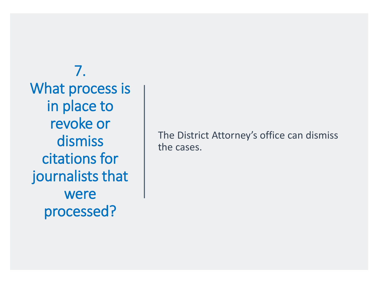7. What process is in place to revoke or dismiss citations for journalists that were processed?

The District Attorney's office can dismiss the cases.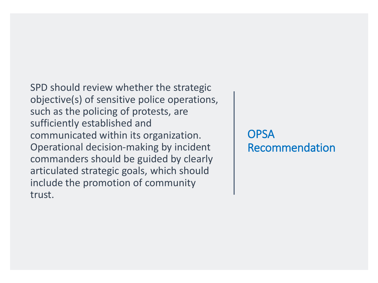SPD should review whether the strategic objective(s) of sensitive police operations, such as the policing of protests, are sufficiently established and communicated within its organization. Operational decision-making by incident commanders should be guided by clearly articulated strategic goals, which should include the promotion of community trust.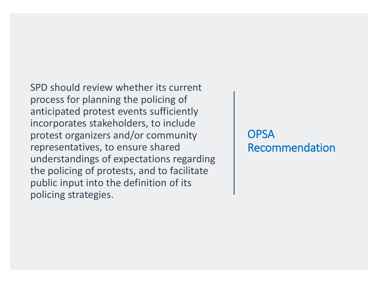SPD should review whether its current process for planning the policing of anticipated protest events sufficiently incorporates stakeholders, to include protest organizers and/or community representatives, to ensure shared understandings of expectations regarding the policing of protests, and to facilitate public input into the definition of its policing strategies.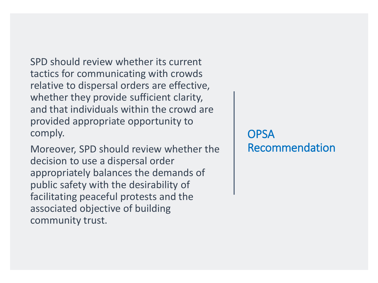SPD should review whether its current tactics for communicating with crowds relative to dispersal orders are effective, whether they provide sufficient clarity, and that individuals within the crowd are provided appropriate opportunity to comply.

Moreover, SPD should review whether the decision to use a dispersal order appropriately balances the demands of public safety with the desirability of facilitating peaceful protests and the associated objective of building community trust.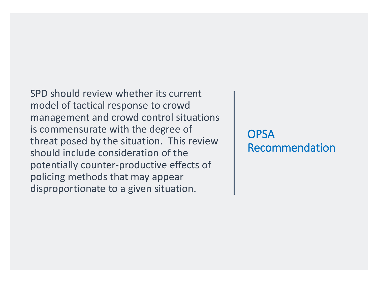SPD should review whether its current model of tactical response to crowd management and crowd control situations is commensurate with the degree of threat posed by the situation. This review should include consideration of the potentially counter-productive effects of policing methods that may appear disproportionate to a given situation.